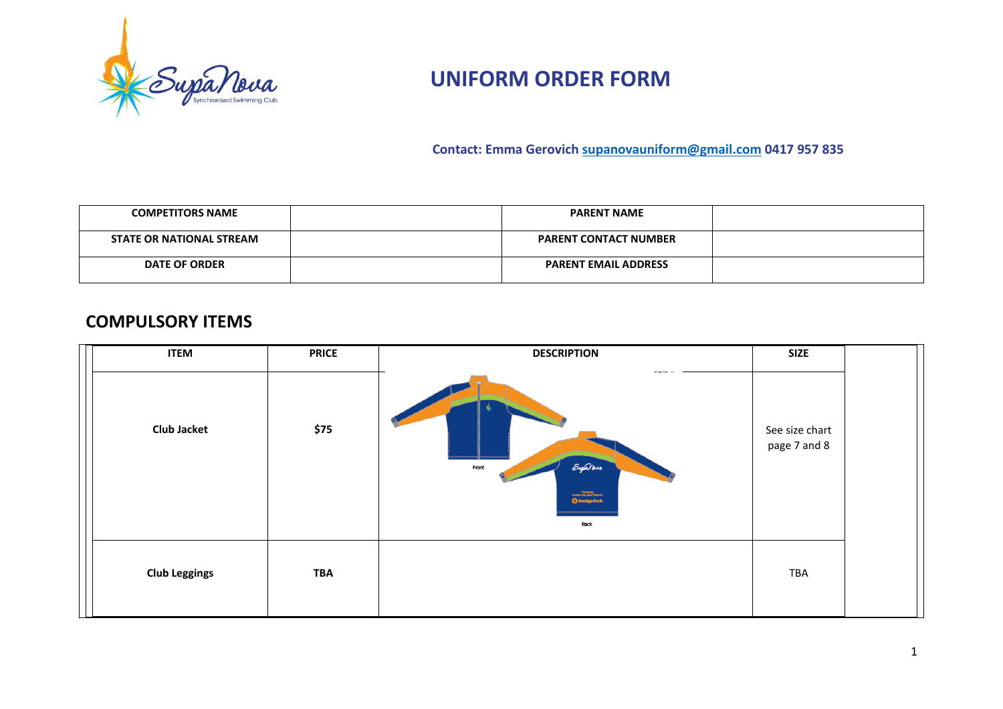

 **Contact: Emma Gerovich [supanovauniform@gmail.com](mailto:supanovauniform@gmail.com) 0417 957 835**

| <b>COMPETITORS NAME</b>         | <b>PARENT NAME</b>           |  |
|---------------------------------|------------------------------|--|
| <b>STATE OR NATIONAL STREAM</b> | <b>PARENT CONTACT NUMBER</b> |  |
| <b>DATE OF ORDER</b>            | <b>PARENT EMAIL ADDRESS</b>  |  |

#### **COMPULSORY ITEMS**

| <b>ITEM</b>          | <b>PRICE</b> | <b>DESCRIPTION</b>                                                        | <b>SIZE</b>                    |  |
|----------------------|--------------|---------------------------------------------------------------------------|--------------------------------|--|
| <b>Club Jacket</b>   | \$75         | Supanesa<br>Front<br><b>Community Bank</b><br><b>Bendigo Bank</b><br>Back | See size chart<br>page 7 and 8 |  |
| <b>Club Leggings</b> | <b>TBA</b>   |                                                                           | TBA                            |  |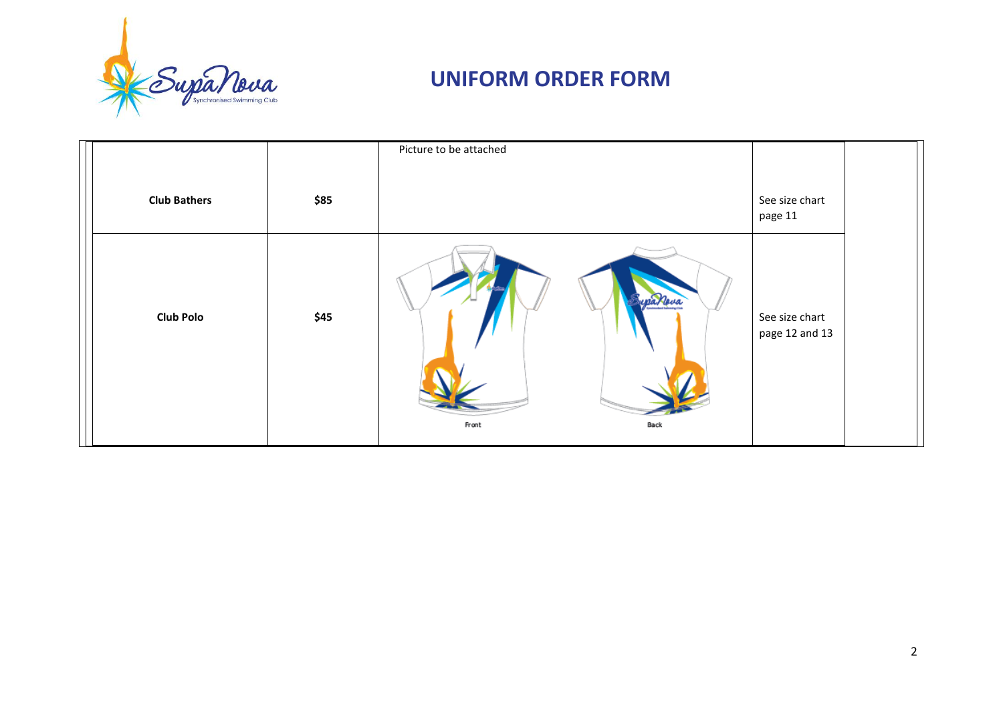

|                     |      | Picture to be attached   |                                  |  |
|---------------------|------|--------------------------|----------------------------------|--|
| <b>Club Bathers</b> | \$85 |                          | See size chart<br>page 11        |  |
| <b>Club Polo</b>    | \$45 | ypanova<br>Front<br>Back | See size chart<br>page 12 and 13 |  |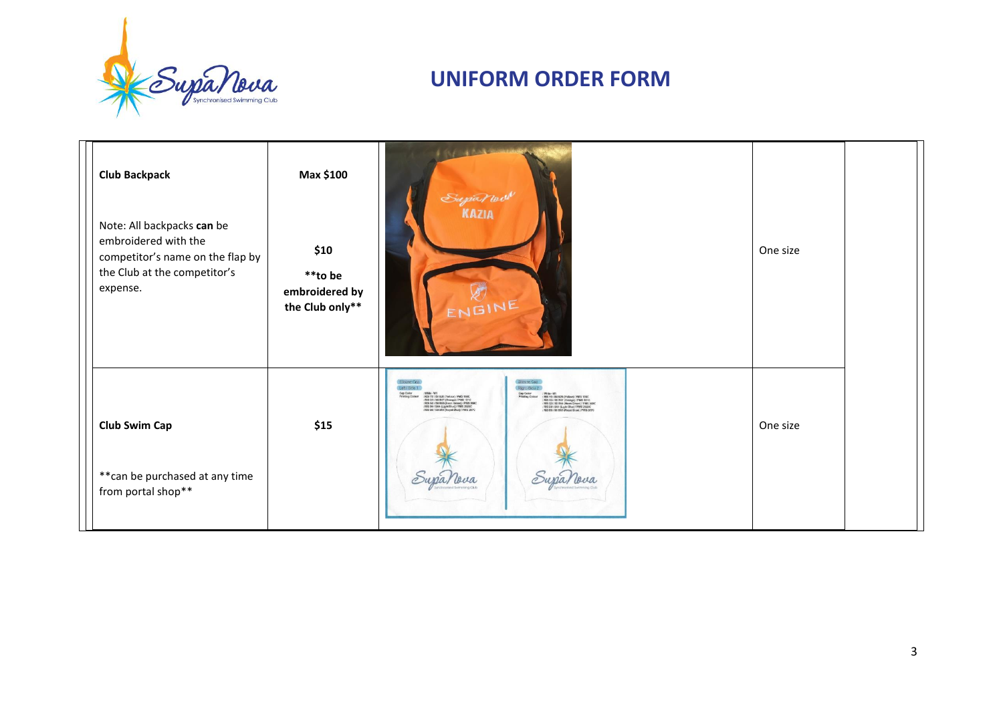

| <b>Club Backpack</b><br>Note: All backpacks can be<br>embroidered with the<br>competitor's name on the flap by<br>the Club at the competitor's<br>expense. | Max \$100<br>\$10<br>**to be<br>embroidered by<br>the Club only** | Supa nouv<br><b>KAZIA</b><br>ENGINE                                                                                                                                                                                                                                                                                                                                                                                                                                                                                                                                                                                                          | One size |  |
|------------------------------------------------------------------------------------------------------------------------------------------------------------|-------------------------------------------------------------------|----------------------------------------------------------------------------------------------------------------------------------------------------------------------------------------------------------------------------------------------------------------------------------------------------------------------------------------------------------------------------------------------------------------------------------------------------------------------------------------------------------------------------------------------------------------------------------------------------------------------------------------------|----------|--|
| <b>Club Swim Cap</b><br>** can be purchased at any time<br>from portal shop**                                                                              | \$15                                                              | Sticone Cap<br>Silicane Ca<br>Leh/Sice 1<br>Right Asda 2<br><b>Crip Color</b><br>Printing Colour<br>: White - W1<br>: RUS Y9 / ISE U20 (Yellow) / PMS 108C<br>: RUS 03 / ISE B3T (Orange) / PMS 151C<br>: RUS G0 / ISE B55 (Noon Green) / PMS 368C<br><b>Cap Celor</b><br>Printing Colour<br>White-W1<br>: PRIS '107<br>: RIS '107 ISI 828 (Yulkav) i PRIS 1980<br>: RIS OS / ISI 837 (Omnge) / PMS 1510<br>: RIS OS / ISI 835 (Neon Green) / PMS 3560<br>; RIS 80 / ISI 865 (Royal Grae) / PMS 2870<br>: RIS 80 / ISI 865 (Royal Grae) / PMS 2870<br>: RIS BO / B64 (Light Blue) / PMS 2025C<br>: RIS BG / \$51 B65 (Royal Blue) / PMS 267C | One size |  |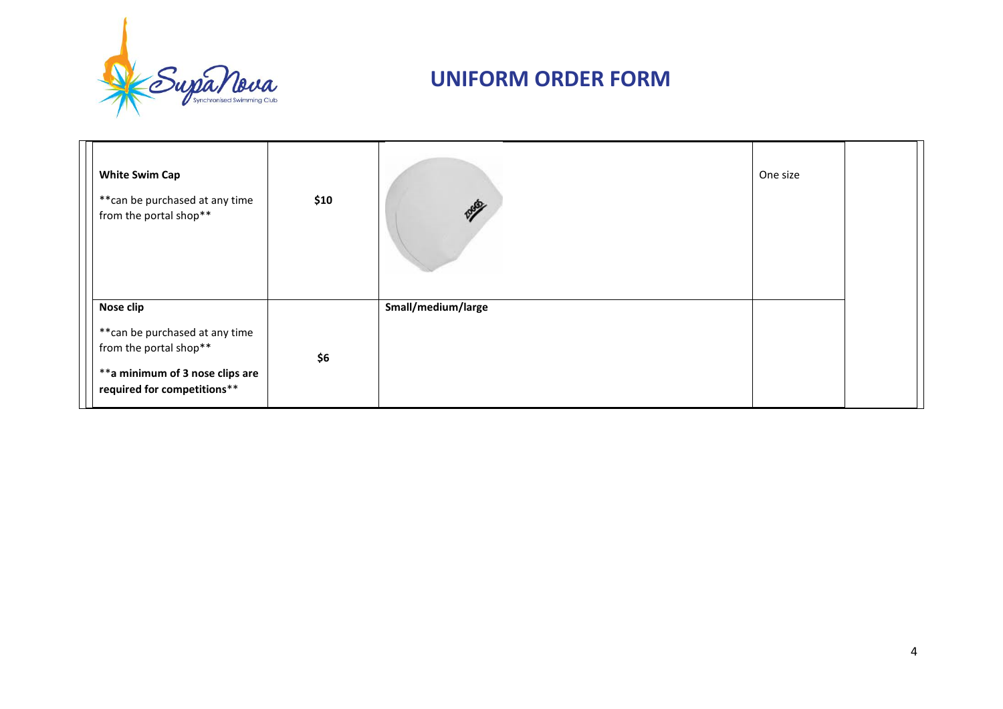

| <b>White Swim Cap</b><br>** can be purchased at any time<br>from the portal shop**                                                       | \$10 | <b>Reserve</b>     | One size |  |
|------------------------------------------------------------------------------------------------------------------------------------------|------|--------------------|----------|--|
| Nose clip<br>** can be purchased at any time<br>from the portal shop**<br>**a minimum of 3 nose clips are<br>required for competitions** | \$6  | Small/medium/large |          |  |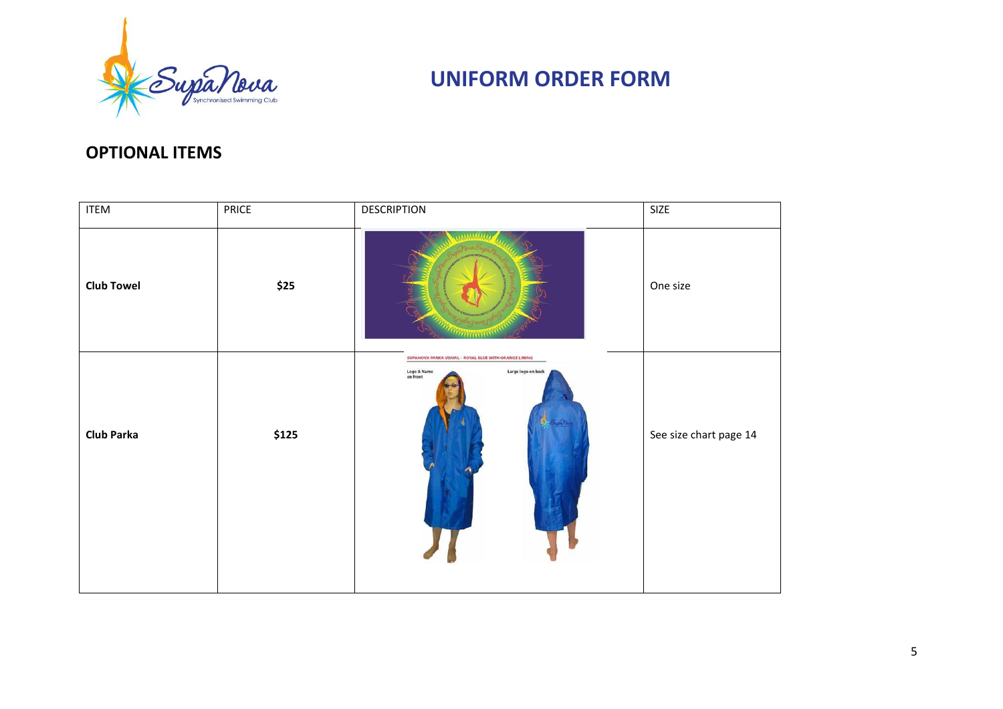

#### **OPTIONAL ITEMS**

| <b>ITEM</b>       | PRICE  | DESCRIPTION                                                                                                     | SIZE                   |
|-------------------|--------|-----------------------------------------------------------------------------------------------------------------|------------------------|
| <b>Club Towel</b> | \$25   |                                                                                                                 | One size               |
| <b>Club Parka</b> | $$125$ | SUPANOVA PARKA VISUAL - ROYAL BLUE WITH ORANGE LINING<br>Logo & Name<br>on front<br>Large logo on back<br>$-22$ | See size chart page 14 |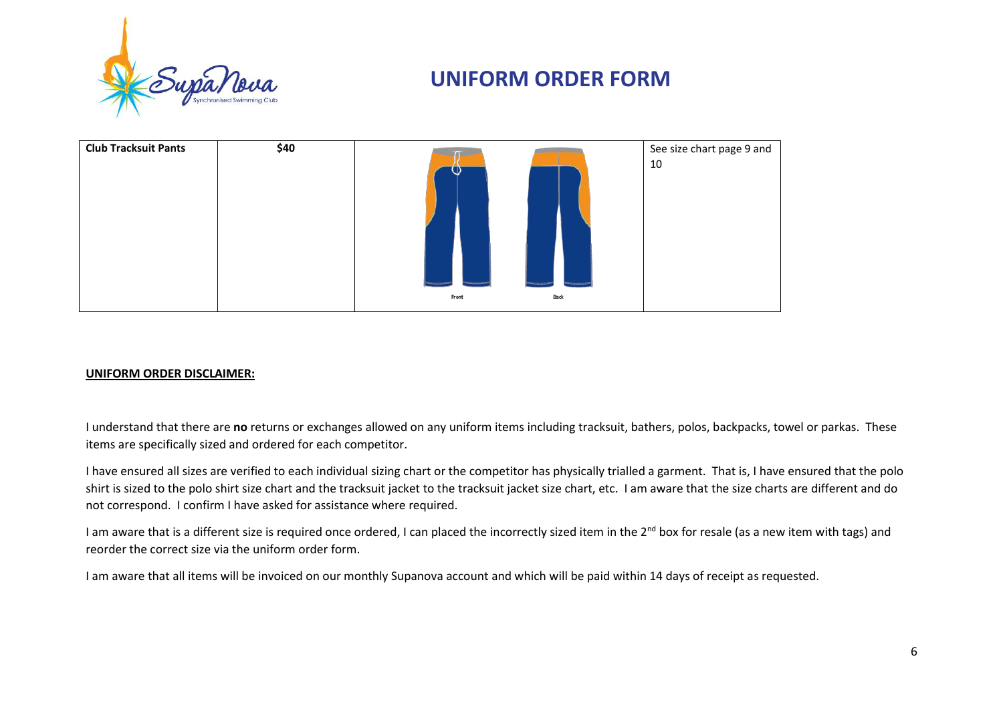



#### **UNIFORM ORDER DISCLAIMER:**

I understand that there are **no** returns or exchanges allowed on any uniform items including tracksuit, bathers, polos, backpacks, towel or parkas. These items are specifically sized and ordered for each competitor.

I have ensured all sizes are verified to each individual sizing chart or the competitor has physically trialled a garment. That is, I have ensured that the polo shirt is sized to the polo shirt size chart and the tracksuit jacket to the tracksuit jacket size chart, etc. I am aware that the size charts are different and do not correspond. I confirm I have asked for assistance where required.

I am aware that is a different size is required once ordered, I can placed the incorrectly sized item in the 2<sup>nd</sup> box for resale (as a new item with tags) and reorder the correct size via the uniform order form.

I am aware that all items will be invoiced on our monthly Supanova account and which will be paid within 14 days of receipt as requested.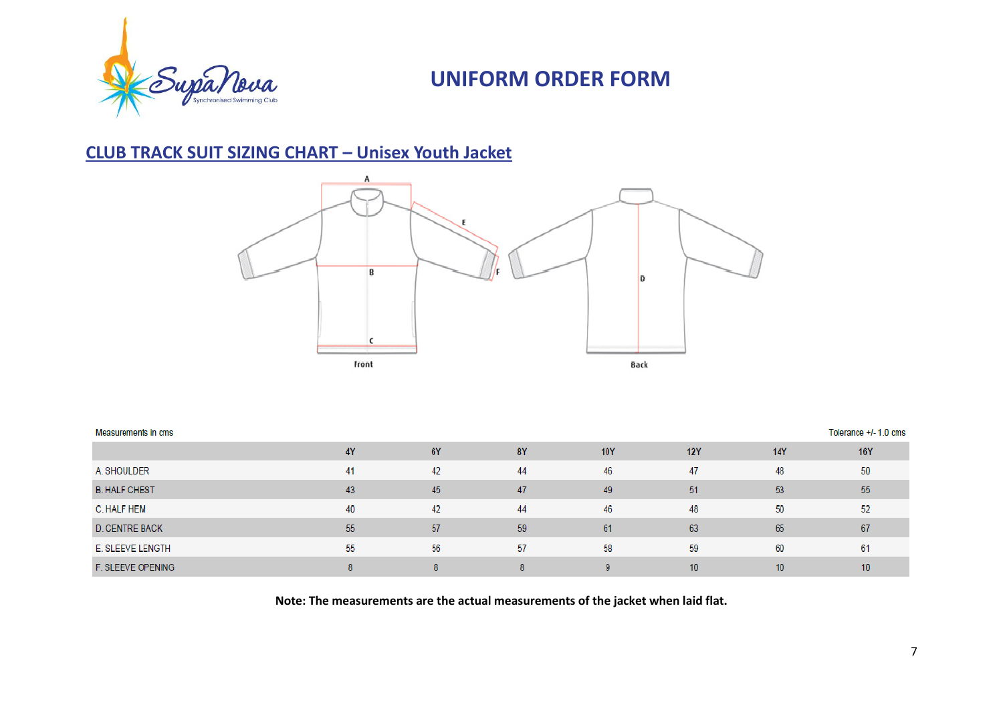

### **CLUB TRACK SUIT SIZING CHART – Unisex Youth Jacket**



| Measurements in cms   |           |           |    |            |            |                  | Tolerance +/- 1.0 cms |
|-----------------------|-----------|-----------|----|------------|------------|------------------|-----------------------|
|                       | <b>4Y</b> | <b>6Y</b> | 8Y | <b>10Y</b> | <b>12Y</b> | <b>14Y</b>       | <b>16Y</b>            |
| A. SHOULDER           | 41        | 42        | 44 | 46         | 47         | 48               | 50                    |
| <b>B. HALF CHEST</b>  | 43        | 45        | 47 | 49         | 51         | 53               | 55                    |
| C. HALF HEM           | 40        | 42        | 44 | 46         | 48         | 50               | 52                    |
| <b>D. CENTRE BACK</b> | 55        | 57        | 59 | 61         | 63         | 65               | 67                    |
| E. SLEEVE LENGTH      | 55        | 56        | 57 | 58         | 59         | 60               | 61                    |
| F. SLEEVE OPENING     | 8         | g         | 8  | a          | 10         | 10 <sup>10</sup> | 10                    |

**Note: The measurements are the actual measurements of the jacket when laid flat.**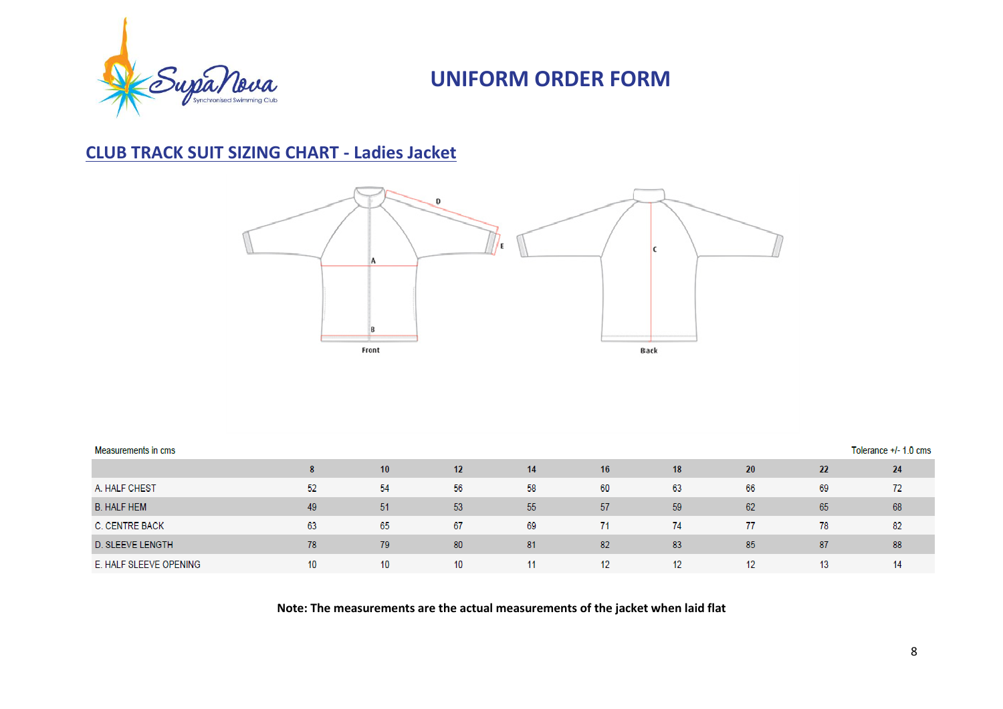

### **CLUB TRACK SUIT SIZING CHART - Ladies Jacket**



| <b>Measurements in cms</b> |    |     |                 |    |    |    | Tolerance +/- 1.0 cms |    |    |
|----------------------------|----|-----|-----------------|----|----|----|-----------------------|----|----|
|                            | 8  | 10  | 12 <sup>2</sup> | 14 | 16 | 18 | 20                    | 22 | 24 |
| A. HALF CHEST              | 52 | -54 | 56              | 58 | 60 | 63 | 66                    | 69 | 72 |
| <b>B. HALF HEM</b>         | 49 | 51  | 53              | 55 | 57 | 59 | 62                    | 65 | 68 |
| <b>C. CENTRE BACK</b>      | 63 | 65  | 67              | 69 | 71 | 74 | 77                    | 78 | 82 |
| <b>D. SLEEVE LENGTH</b>    | 78 | 79  | 80              | 81 | 82 | 83 | 85                    | 87 | 88 |
| E. HALF SLEEVE OPENING     | 10 | 10  | 10              |    | 12 | 12 | 12                    | 13 | 14 |

**Note: The measurements are the actual measurements of the jacket when laid flat**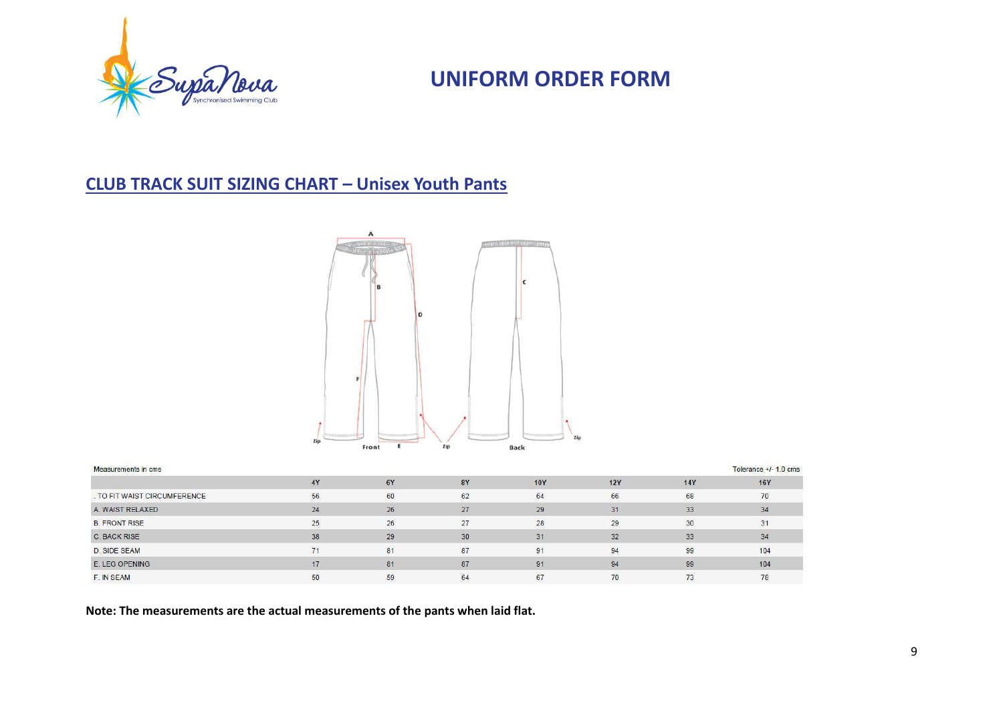

### **CLUB TRACK SUIT SIZING CHART – Unisex Youth Pants**



| Measurements in cms          |    |           |           |            |            |            | Tolerance $+/-1.0$ cms |
|------------------------------|----|-----------|-----------|------------|------------|------------|------------------------|
|                              | 4Y | <b>6Y</b> | <b>8Y</b> | <b>10Y</b> | <b>12Y</b> | <b>14Y</b> | <b>16Y</b>             |
| . TO FIT WAIST CIRCUMFERENCE | 56 | 60        | 62        | 64         | 66         | 68         | 70                     |
| A. WAIST RELAXED             | 24 | 26        | 27        | 29         | 31         | 33         | 34                     |
| <b>B. FRONT RISE</b>         | 25 | 26        | 27        | 28         | 29         | 30         | 31                     |
| <b>C. BACK RISE</b>          | 38 | 29        | 30        | 31         | 32         | 33         | 34                     |
| <b>D. SIDE SEAM</b>          | 71 | 81        | 87        | 91         | 94         | 99         | 104                    |
| E. LEG OPENING               | 17 | 81        | 87        | 91         | 94         | 99         | 104                    |
| F. IN SEAM                   | 50 | 59        | 64        | 67         | 70         | 73         | 78                     |

**Note: The measurements are the actual measurements of the pants when laid flat.**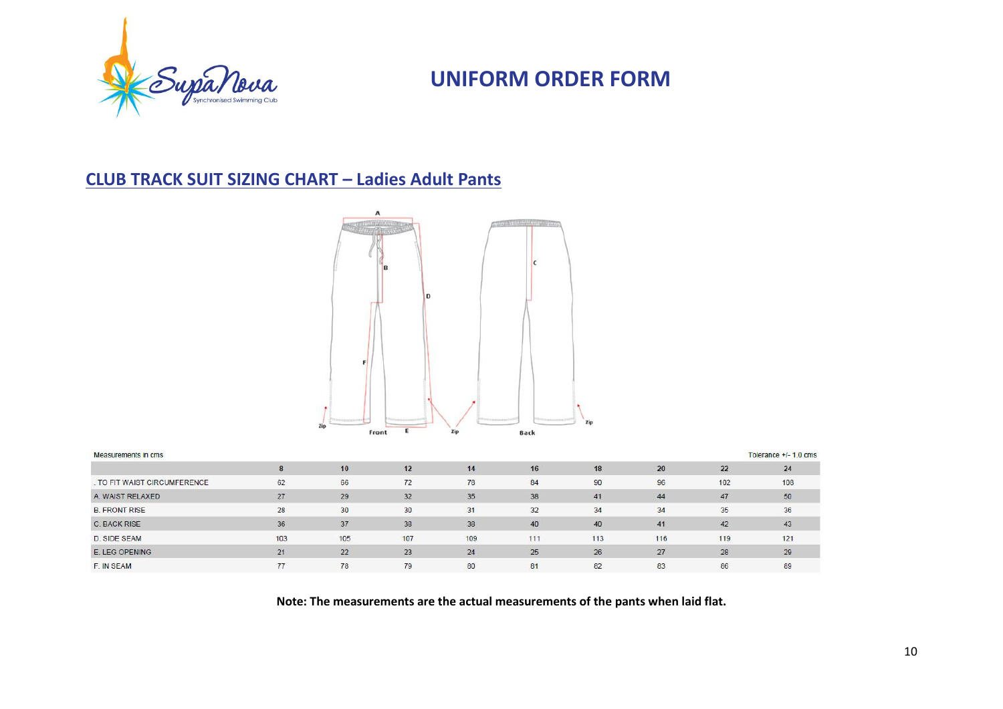

### **CLUB TRACK SUIT SIZING CHART – Ladies Adult Pants**



| <b>Measurements in cms</b> |     |     |     |     |     |     |     |     | Tolerance $+/-1.0$ cms |
|----------------------------|-----|-----|-----|-----|-----|-----|-----|-----|------------------------|
|                            |     | 10  | 12  | 14  | 16  | 18  | 20  | 22  | 24                     |
| TO FIT WAIST CIRCUMFERENCE | 62  | 66  | 72  | 78  | 84  | 90  | 96  | 102 | 108                    |
| A. WAIST RELAXED           | 27  | 29  | 32  | 35  | 38  | 41  | 44  | 47  | 50                     |
| <b>B. FRONT RISE</b>       | 28  | 30  | 30  | 31  | 32  | 34  | 34  | 35  | 36                     |
| C. BACK RISE               | 36  | 37  | 38  | 38  | 40  | 40  | 41  | 42  | 43                     |
| <b>D. SIDE SEAM</b>        | 103 | 105 | 107 | 109 | 111 | 113 | 116 | 119 | 121                    |
| E. LEG OPENING             | 21  | 22  | 23  | 24  | 25  | 26  | 27  | 28  | 29                     |
| F. IN SEAM                 | 77  | 78  | 79  | 80  | 81  | 82  | 83  | 86  | 89                     |

**Note: The measurements are the actual measurements of the pants when laid flat.**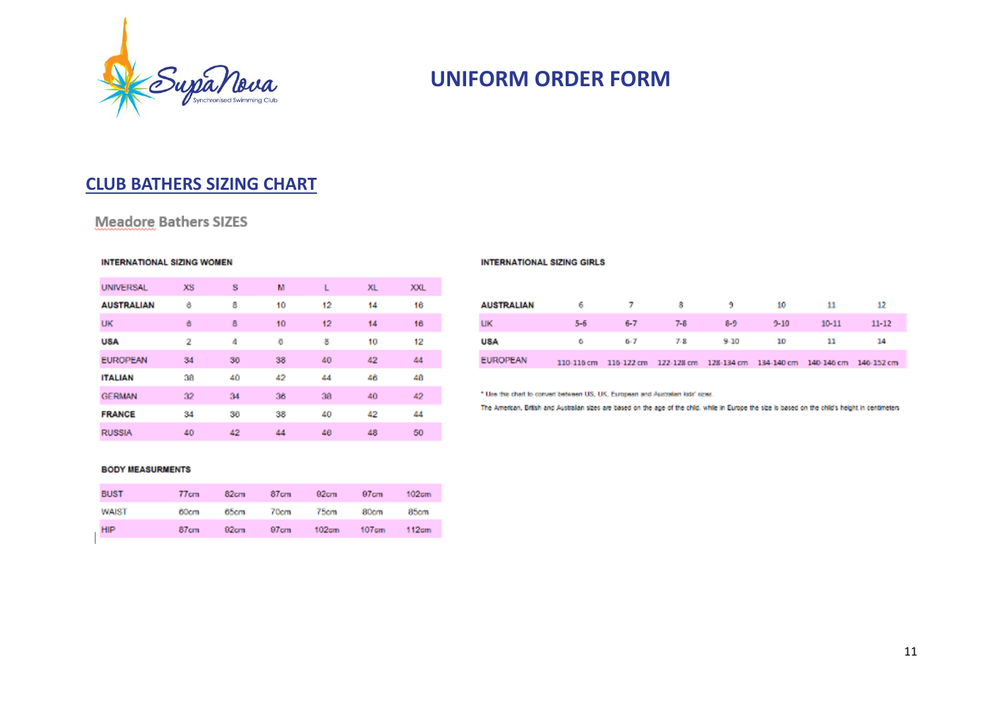

#### **CLUB BATHERS SIZING CHART**

#### **Meadore Bathers SIZES**

#### **INTERNATIONAL SIZING WOMEN**

| <b>UNIVERSAL</b>  | XS. | s  | м  | L  | <b>XL</b> | <b>XXL</b> |
|-------------------|-----|----|----|----|-----------|------------|
| <b>AUSTRALIAN</b> | ô   | 8  | 10 | 12 | 14        | 16         |
| UK                | 6   | 8  | 10 | 12 | 14        | 16         |
| <b>USA</b>        | 2   | 4  | Ö  | 8  | 10        | 12         |
| <b>EUROPEAN</b>   | 34  | 36 | 38 | 40 | 42        | 44         |
| <b>ITALIAN</b>    | 38  | 40 | 42 | 44 | 46        | 48         |
| <b>GERMAN</b>     | 32  | 34 | 36 | 38 | 40        | 42         |
| <b>FRANCE</b>     | 34  | 36 | 38 | 40 | 42        | 44         |
| <b>RUSSIA</b>     | 40  | 42 | 44 | 46 | 48        | 50         |

#### **INTERNATIONAL SIZING GIRLS**

| <b>AUSTRALIAN</b> |         |                           |    | 6 7 8 9 10                                                                   |          | 11        |           |  |
|-------------------|---------|---------------------------|----|------------------------------------------------------------------------------|----------|-----------|-----------|--|
| UК                | $5 - 6$ | 6-7                       | 78 | 89.                                                                          | $9 - 10$ | $10 - 11$ | $11 - 12$ |  |
| USA               |         | $6 \t 5.7 \t 7.8 \t 5.10$ |    |                                                                              | 10       | 11        |           |  |
| EUROPEAN          |         |                           |    | 110-116 cm 116-122 cm 122-128 cm 128-134 cm 134-140 cm 140-146 cm 146-152 cm |          |           |           |  |

\* Use this chart to convert between US, UK, European and Australian kids' sizes.

The American, British and Australian sizes are based on the age of the child, while in Europe the size is based on the child's height in centimeters

#### **BODY MEASURMENTS**

| <b>BUST</b>  | 77cm             | 82cm | 87 <sub>cm</sub> | 92cm  | 97cm  | 102 <sub>cm</sub> |
|--------------|------------------|------|------------------|-------|-------|-------------------|
| <b>WAIST</b> | 60cm             | 65cm | 70cm             | 75cm  | 80cm  | 85cm              |
| <b>HIP</b>   | 87 <sub>cm</sub> | 92cm | 97 <sub>cm</sub> | 102cm | 107cm | 112cm             |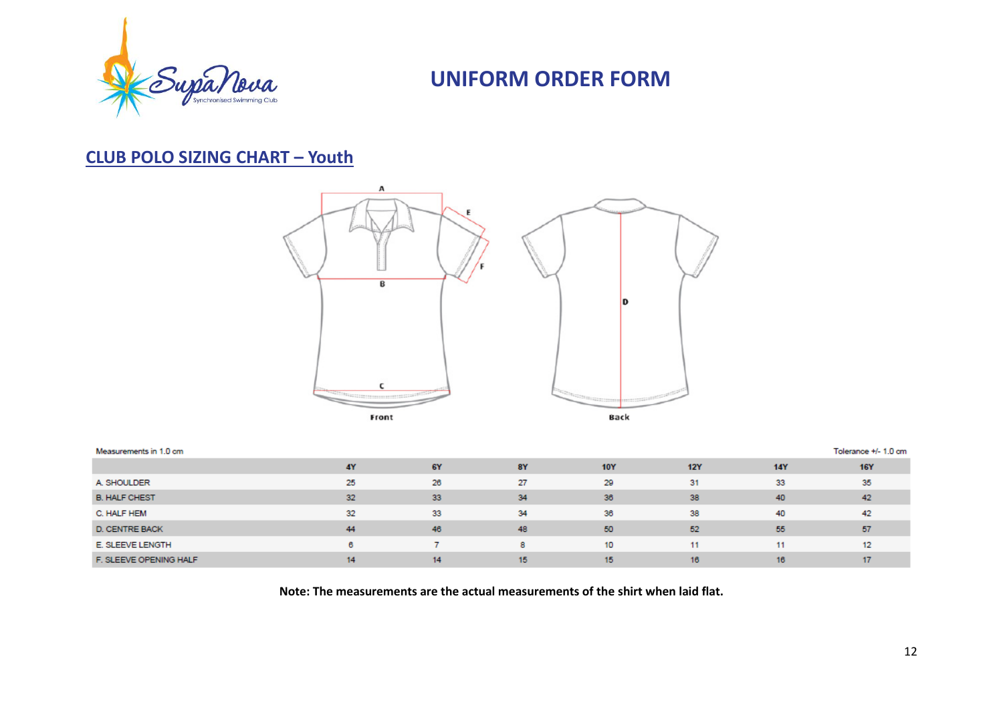

#### **CLUB POLO SIZING CHART – Youth**



| Measurements in 1.0 cm |           |           |           |            |            |            | Tolerance +/- 1.0 cm |
|------------------------|-----------|-----------|-----------|------------|------------|------------|----------------------|
|                        | <b>4Y</b> | <b>6Y</b> | <b>8Y</b> | <b>10Y</b> | <b>12Y</b> | <b>14Y</b> | <b>16Y</b>           |
| A. SHOULDER            | 25        | 26        | 27        | 29         | 31         | 33         | 35                   |
| <b>B. HALF CHEST</b>   | 32        | 33        | 34        | 36         | 38         | 40         | 42                   |
| C. HALF HEM            | 32        | 33        | 34        | 36         | 38         | 40         | 42                   |
| D. CENTRE BACK         | 44        | 46        | 48        | 50         | 52         | 55         | 57                   |
| E. SLEEVE LENGTH       | 6         |           | 8         | 10         | 11         | 11         | 12                   |
| F. SLEEVE OPENING HALF | 14        | 14        | 15        | 15         | 16         | 16         |                      |

**Note: The measurements are the actual measurements of the shirt when laid flat.**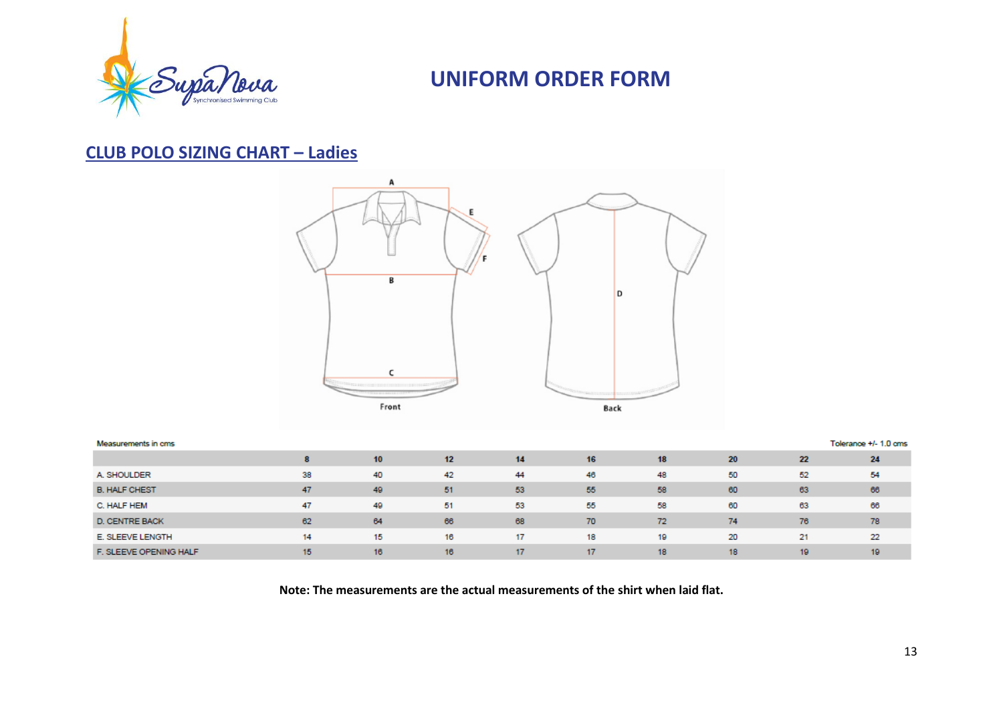

### **CLUB POLO SIZING CHART – Ladies**



| Measurements in cms    |    |    |    |    |    |    |    |     | Tolerance +/- 1.0 cms |
|------------------------|----|----|----|----|----|----|----|-----|-----------------------|
|                        |    | 10 | 12 | 14 | 16 | 18 | 20 | 22  | 24                    |
| A. SHOULDER            | 38 | 40 | 42 | 44 | 46 | 48 | 50 | 52  | 54                    |
| <b>B. HALF CHEST</b>   | 47 | 49 | 51 | 53 | 55 | 58 | 60 | 63  | 66                    |
| C. HALF HEM            | 47 | 49 | 51 | 53 | 55 | 58 | 60 | 63  | 66                    |
| <b>D. CENTRE BACK</b>  | 62 | 64 | 66 | 68 | 70 | 72 | 74 | 76  | 78                    |
| E. SLEEVE LENGTH       | 14 | 15 | 16 | 17 | 18 | 19 | 20 | 21  | 22                    |
| F. SLEEVE OPENING HALF | 15 | 16 | 16 | 17 | 17 | 18 | 18 | 19. | 19                    |

**Note: The measurements are the actual measurements of the shirt when laid flat.**